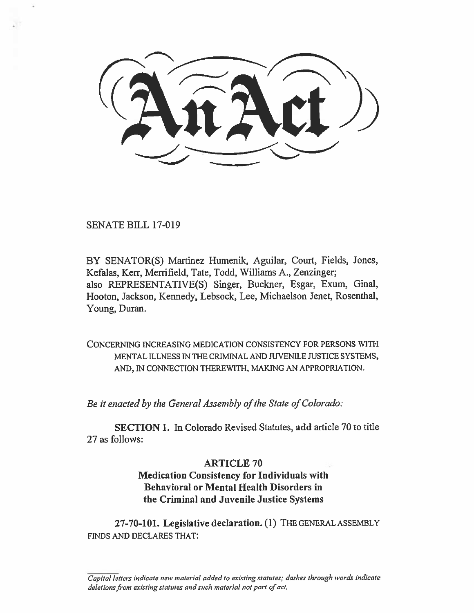SENATE BILL 17-019

BY SENATOR(S) Martinez Humenik, Aguilar, Court, Fields, Jones, Kefalas, Kerr, Merrifield, Tate, Todd, Williams A., Zenzinger; also REPRESENTATIVE(S) Singer, Buckner, Esgar, Exum, Ginal, Hooton, Jackson, Kennedy, Lebsock, Lee, Michaelson Jenet, Rosenthal, Young, Duran.

CONCERNING INCREASING MEDICATION CONSISTENCY FOR PERSONS WITH MENTAL ILLNESS IN THE CRIMINAL AND JUVENILE JUSTICE SYSTEMS, AND, IN CONNECTION THEREWITH, MAKING AN APPROPRIATION.

*Be it enacted by the General Assembly of the State of Colorado:* 

**SECTION 1.** In Colorado Revised Statutes, **add** article 70 to title 27 as follows:

### **ARTICLE 70**

## **Medication Consistency for Individuals with Behavioral or Mental Health Disorders in the Criminal and Juvenile Justice Systems**

**27-70-101. Legislative declaration. (1)** THE GENERAL ASSEMBLY FINDS AND DECLARES THAT:

*Capital letters indicate new material added to existing statutes; dashes through words indicate deletions from existing statutes and such material not part of act.*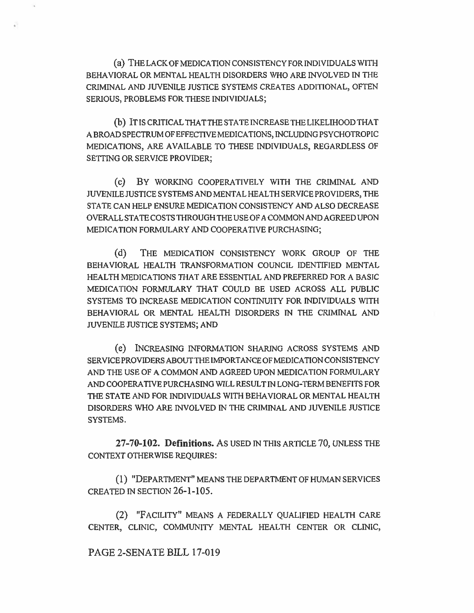(a) THE LACK OF MEDICATION CONSISTENCY FOR INDIVIDUALS WITH BEHAVIORAL OR MENTAL HEALTH DISORDERS WHO ARE INVOLVED IN THE CRIMINAL AND JUVENILE JUSTICE SYSTEMS CREATES ADDITIONAL, OFTEN SERIOUS, PROBLEMS FOR THESE INDIVIDUALS;

(b) IT IS CRITICAL THAT THE STATE INCREASE THE LIKELIHOOD THAT A BROAD SPECTRUM OF EFFECTIVE MEDICATIONS, INCLUDING PSYCHOTROPIC MEDICATIONS, ARE AVAILABLE TO THESE INDIVIDUALS, REGARDLESS OF SETTING OR SERVICE PROVIDER;

(c) BY WORKING COOPERATIVELY WITH THE CRIMINAL AND JUVENILE JUSTICE SYSTEMS AND MENTAL HEALTH SERVICE PROVIDERS, THE STATE CAN HELP ENSURE MEDICATION CONSISTENCY AND ALSO DECREASE OVERALL STATE COSTS THROUGH THE USE OF A COMMON AND AGREED UPON MEDICATION FORMULARY AND COOPERATIVE PURCHASING;

(d) THE MEDICATION CONSISTENCY WORK GROUP OF THE BEHAVIORAL HEALTH TRANSFORMATION COUNCIL IDENTIFIED MENTAL HEALTH MEDICATIONS THAT ARE ESSENTIAL AND PREFERRED FOR A BASIC MEDICATION FORMULARY THAT COULD BE USED ACROSS ALL PUBLIC SYSTEMS TO INCREASE MEDICATION CONTINUITY FOR INDIVIDUALS WITH BEHAVIORAL OR MENTAL HEALTH DISORDERS IN THE CRIMINAL AND JUVENILE JUSTICE SYSTEMS; AND

(e) INCREASING INFORMATION SHARING ACROSS SYSTEMS AND SERVICE PROVIDERS ABOUT THE IMPORTANCE OF MEDICATION CONSISTENCY AND THE USE OF A COMMON AND AGREED UPON MEDICATION FORMULARY AND COOPERATIVE PURCHASING WILL RESULT IN LONG-TERM BENEFITS FOR THE STATE AND FOR INDIVIDUALS WITH BEHAVIORAL OR MENTAL HEALTH DISORDERS WHO ARE INVOLVED IN THE CRIMINAL AND JUVENILE JUSTICE SYSTEMS.

**27-70-102. Definitions. As** USED IN THIS ARTICLE **70,** UNLESS THE CONTEXT OTHERWISE REQUIRES:

(1) "DEPARTMENT" MEANS THE DEPARTMENT OF HUMAN SERVICES CREATED IN SECTION **26-1-105.** 

(2) "FACILITY" MEANS A FEDERALLY QUALIFIED HEALTH CARE CENTER, CLINIC, COMMUNITY MENTAL HEALTH CENTER OR CLINIC,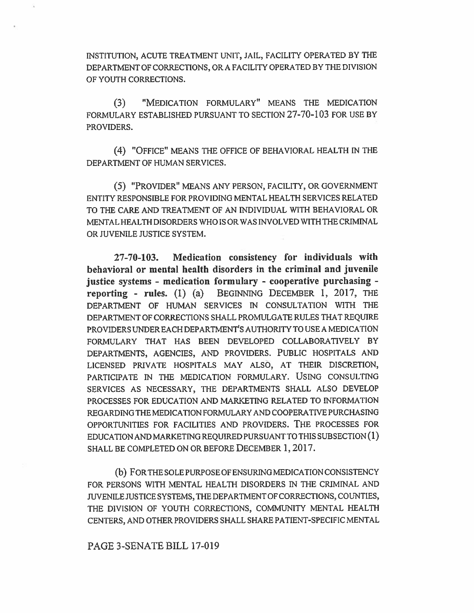INSTITUTION, ACUTE TREATMENT UNIT, JAIL, FACILITY OPERATED BY THE DEPARTMENT OF CORRECTIONS, OR A FACILITY OPERATED BY THE DIVISION OF YOUTH CORRECTIONS.

(3) "MEDICATION FORMULARY" MEANS THE MEDICATION FORMULARY ESTABLISHED PURSUANT TO SECTION 27-70-103 FOR USE BY PROVIDERS.

(4) "OFFICE" MEANS THE OFFICE OF BEHAVIORAL HEALTH IN THE DEPARTMENT OF HUMAN SERVICES.

(5) "PROVIDER" MEANS ANY PERSON, FACILITY, OR GOVERNMENT ENTITY RESPONSIBLE FOR PROVIDING MENTAL HEALTH SERVICES RELATED TO THE CARE AND TREATMENT OF AN INDIVIDUAL WITH BEHAVIORAL OR MENTAL HEALTH DISORDERS WHO IS OR WAS INVOLVED WITH THE CRIMINAL OR JUVENILE JUSTICE SYSTEM.

27-70-103. Medication consistency for individuals with behavioral or mental health disorders in the criminal and juvenile justice systems - medication formulary - cooperative purchasing reporting - rules. (1) (a) BEGINNING DECEMBER 1, 2017, THE DEPARTMENT OF HUMAN SERVICES IN CONSULTATION WITH THE DEPARTMENT OF CORRECTIONS SHALL PROMULGATE RULES THAT REQUIRE PROVIDERS UNDER EACH DEPARTMENT'S AUTHORITY TO USE A MEDICATION FORMULARY THAT HAS BEEN DEVELOPED COLLABORATIVELY BY DEPARTMENTS, AGENCIES, AND PROVIDERS. PUBLIC HOSPITALS AND LICENSED PRIVATE HOSPITALS MAY ALSO, AT THEIR DISCRETION, PARTICIPATE IN THE MEDICATION FORMULARY. USING CONSULTING SERVICES AS NECESSARY, THE DEPARTMENTS SHALL ALSO DEVELOP PROCESSES FOR EDUCATION AND MARKETING RELATED TO INFORMATION REGARDING THE MEDICATION FORMULARY AND COOPERATIVE PURCHASING OPPORTUNITIES FOR FACILITIES AND PROVIDERS. THE PROCESSES FOR EDUCATION AND MARKETING REQUIRED PURSUANT TO THIS SUBSECTION (1) SHALL BE COMPLETED ON OR BEFORE DECEMBER 1, 2017.

(b) FOR THE SOLE PURPOSE OF ENSURING MEDICATION CONSISTENCY FOR PERSONS WITH MENTAL HEALTH DISORDERS IN THE CRIMINAL AND JUVENILE JUSTICE SYSTEMS, THE DEPARTMENT OF CORRECTIONS, COUNTIES, THE DIVISION OF YOUTH CORRECTIONS, COMMUNITY MENTAL HEALTH CENTERS, AND OTHER PROVIDERS SHALL SHARE PATIENT-SPECIFIC MENTAL

#### PAGE 3-SENATE BILL 17-019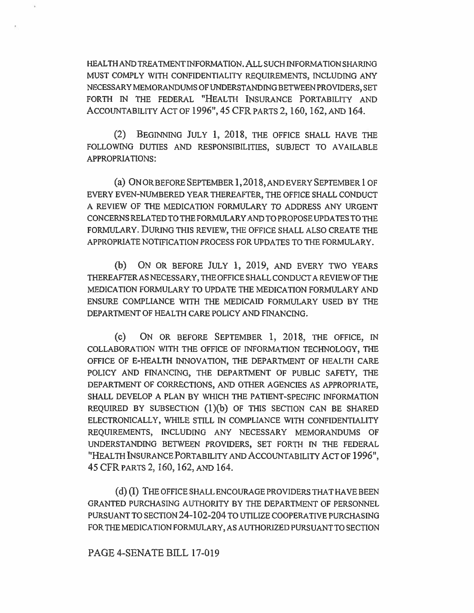HEALTH AND TREATMENT INFORMATION. ALL SUCH INFORMATION SHARING MUST COMPLY WITH CONFIDENTIALITY REQUIREMENTS, INCLUDING ANY NECESSARY MEMORANDUMS OF UNDERSTANDING BETWEEN PROVIDERS, SET FORTH IN THE FEDERAL "HEALTH INSURANCE PORTABILITY AND ACCOUNTABILITY ACT OF 1996", 45 CFR PARTS 2, 160, 162, AND 164.

(2) BEGINNING JULY 1, 2018, THE OFFICE SHALL HAVE THE FOLLOWING DUTIES AND RESPONSIBILITIES, SUBJECT TO AVAILABLE APPROPRIATIONS:

(a) ON OR BEFORE SEPTEMBER 1, 2018, AND EVERY SEPTEMBER 1 OF EVERY EVEN-NUMBERED YEAR THEREAFTER, THE OFFICE SHALL CONDUCT A REVIEW OF THE MEDICATION FORMULARY TO ADDRESS ANY URGENT CONCERNS RELATED TO THE FORMULARY AND TO PROPOSE UPDATES TO THE FORMULARY. DURING THIS REVIEW, THE OFFICE SHALL ALSO CREATE THE APPROPRIATE NOTIFICATION PROCESS FOR UPDATES TO THE FORMULARY.

(b) ON OR BEFORE JULY 1, 2019, AND EVERY TWO YEARS THEREAFTER AS NECESSARY, THE OFFICE SHALL CONDUCT A REVIEW OF THE MEDICATION FORMULARY TO UPDATE THE MEDICATION FORMULARY AND ENSURE COMPLIANCE WITH THE MEDICAID FORMULARY USED BY THE DEPARTMENT OF HEALTH CARE POLICY AND FINANCING.

(C) ON OR BEFORE SEPTEMBER 1, 2018, THE OFFICE, IN COLLABORATION WITH THE OFFICE OF INFORMATION TECHNOLOGY, THE OFFICE OF E-HEALTH INNOVATION, THE DEPARTMENT OF HEALTH CARE POLICY AND FINANCING, THE DEPARTMENT OF PUBLIC SAFETY, THE DEPARTMENT OF CORRECTIONS, AND OTHER AGENCIES AS APPROPRIATE, SHALL DEVELOP A PLAN BY WHICH THE PATIENT-SPECIFIC INFORMATION REQUIRED BY SUBSECTION  $(1)(b)$  OF THIS SECTION CAN BE SHARED ELECTRONICALLY, WHILE STILL IN COMPLIANCE WITH CONFIDENTIALITY REQUIREMENTS, INCLUDING ANY NECESSARY MEMORANDUMS OF UNDERSTANDING BETWEEN PROVIDERS, SET FORTH IN THE FEDERAL "HEALTH INSURANCE PORTABILITY AND ACCOUNTABILITY ACT OF 1996", 45 CFR PARTS 2, 160, 162, AND 164.

(d) (1) THE OFFICE SHALL ENCOURAGE PROVIDERS THAT HAVE BEEN GRANTED PURCHASING AUTHORITY BY THE DEPARTMENT OF PERSONNEL PURSUANT TO SECTION 24-102-204 TO UTILIZE COOPERATIVE PURCHASING FOR THE MEDICATION FORMULARY, AS AUTHORIZED PURSUANT TO SECTION

#### PAGE 4-SENATE BILL 17-019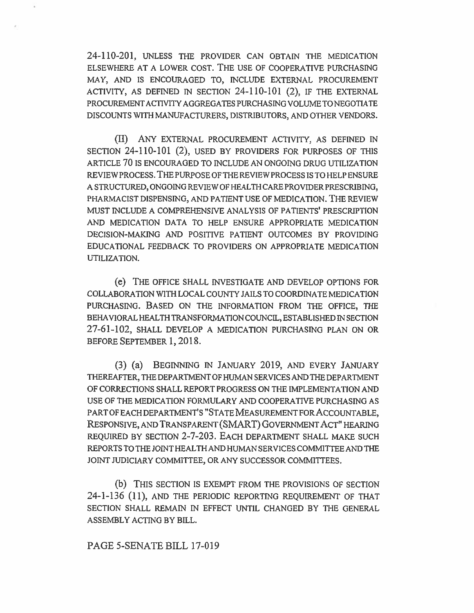24-110-201, UNLESS THE PROVIDER CAN OBTAIN THE MEDICATION ELSEWHERE AT A LOWER COST. THE USE OF COOPERATIVE PURCHASING MAY, AND IS ENCOURAGED TO, INCLUDE EXTERNAL PROCUREMENT ACTIVITY, AS DEFINED IN SECTION 24-110-101 (2), IF THE EXTERNAL PROCUREMENT ACTIVITY AGGREGATES PURCHASING VOLUME TO NEGOTIATE DISCOUNTS WITH MANUFACTURERS, DISTRIBUTORS, AND OTHER VENDORS.

(II) ANY EXTERNAL PROCUREMENT ACTIVITY, AS DEFINED IN SECTION 24-110-101 (2), USED BY PROVIDERS FOR PURPOSES OF THIS ARTICLE 70 IS ENCOURAGED TO INCLUDE AN ONGOING DRUG UTILIZATION REVIEW PROCESS. THE PURPOSE OF THE REVIEW PROCESS IS TO HELP ENSURE A STRUCTURED, ONGOING REVIEW OF HEALTH CARE PROVIDER PRESCRIBING, PHARMACIST DISPENSING, AND PATIENT USE OF MEDICATION. THE REVIEW MUST INCLUDE A COMPREHENSIVE ANALYSIS OF PATIENTS' PRESCRIPTION AND MEDICATION DATA TO HELP ENSURE APPROPRIATE MEDICATION DECISION-MAKING AND POSITIVE PATIENT OUTCOMES BY PROVIDING EDUCATIONAL FEEDBACK TO PROVIDERS ON APPROPRIATE MEDICATION UTILIZATION.

(e) THE OFFICE SHALL INVESTIGATE AND DEVELOP OPTIONS FOR COLLABORATION WITH LOCAL COUNTY JAILS TO COORDINATE MEDICATION PURCHASING. BASED ON THE INFORMATION FROM THE OFFICE, THE BEHAVIORAL HEALTH TRANSFORMATION COUNCIL, ESTABLISHED IN SECTION 27-61-102, SHALL DEVELOP A MEDICATION PURCHASING PLAN ON OR BEFORE SEPTEMBER 1, 2018.

(3) (a) BEGINNING IN JANUARY 2019, AND EVERY JANUARY THEREAFTER, THE DEPARTMENT OF HUMAN SERVICES AND THE DEPARTMENT OF CORRECTIONS SHALL REPORT PROGRESS ON THE IMPLEMENTATION AND USE OF THE MEDICATION FORMULARY AND COOPERATIVE PURCHASING AS PART OF EACH DEPARTMENT'S "STATE MEASUREMENT FOR ACCOUNTABLE, RESPONSIVE, AND TRANSPARENT (SMART) GOVERNMENT ACT" HEARING REQUIRED BY SECTION 2-7-203. EACH DEPARTMENT SHALL MAKE SUCH REPORTS TO THE JOINT HEALTH AND HUMAN SERVICES COMMITTEE AND THE JOINT JUDICIARY COMMITTEE, OR ANY SUCCESSOR COMMITTEES.

(b) THIS SECTION IS EXEMPT FROM THE PROVISIONS OF SECTION 24-1-136 (11), AND THE PERIODIC REPORTING REQUIREMENT OF THAT SECTION SHALL REMAIN IN EFFECT UNTIL CHANGED BY THE GENERAL ASSEMBLY ACTING BY BILL.

#### PAGE 5-SENATE BILL 17-019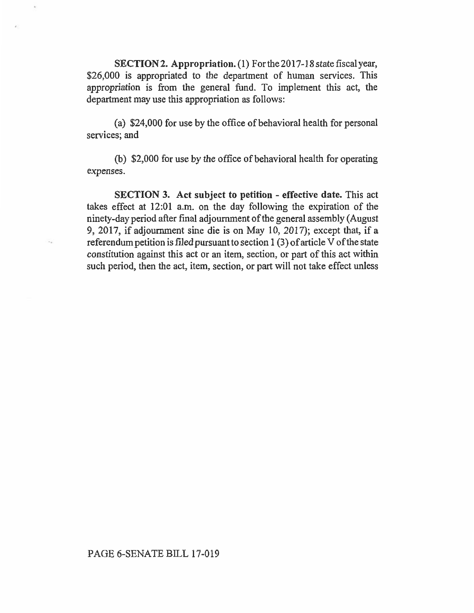**SECTION 2. Appropriation.** (1) For the 2017-18 state fiscal year, \$26,000 is appropriated to the department of human services. This appropriation is from the general fund. To implement this act, the department may use this appropriation as follows:

(a) \$24,000 for use by the office of behavioral health for personal services; and

(b) \$2,000 for use by the office of behavioral health for operating expenses.

**SECTION 3. Act subject to petition - effective date. This act**  takes effect at 12:01 a.m. on the day following the expiration of the ninety-day period after final adjournment of the general assembly (August 9, 2017, if adjournment sine die is on May 10, 2017); except that, if a referendum petition is filed pursuant to section 1(3) of article V of the state constitution against this act or an item, section, or part of this act within such period, then the act, item, section, or part will not take effect unless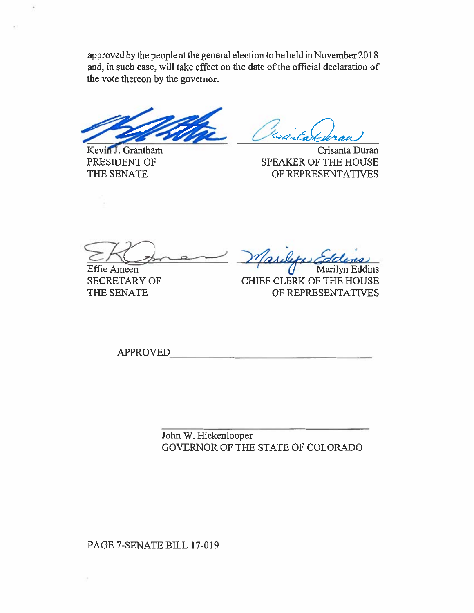approved by the people at the general election to be held in November 2018 and, in such case, will take effect on the date of the official declaration of the vote thereon by the governor.

Kevin J. Grantham Crisanta Duran PRESIDENT OF SPEAKER OF THE HOUSE THE SENATE OF REPRESENTATIVES

Effie Ameen SECRETARY OF THE SENATE

Marilyn Eddins CHIEF CLERK OF THE HOUSE OF REPRESENTATIVES

APPROVED

John W. Hickenlooper GOVERNOR OF THE STATE OF COLORADO

PAGE 7-SENATE BILL 17-019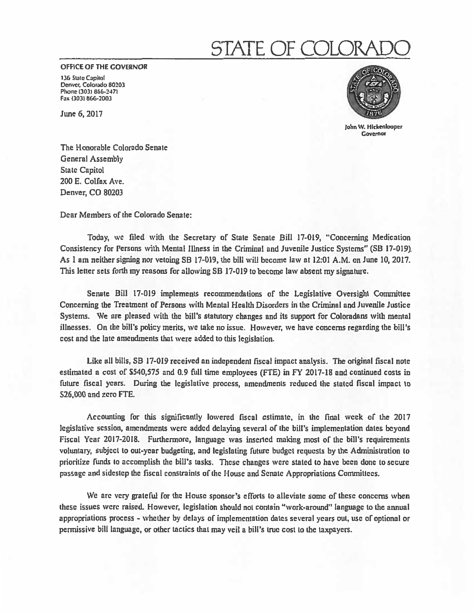# STATE OF COLO

**OFFICE OF THE GOVERNOR** 

**136 State Capitol Denver, Colorado 80203 Phone (303) 866-2471 Fax (303) 866-2003** 

**June 6, 2017** 



**John W. Hickenlooper Governor** 

**The Honorable Colorado Senate General Assembly State Capitol 200 E. Colfax Ave. Denver, CO 80203** 

**Dear Members of the Colorado Senate:** 

**Today, we filed with the Secretary of State Senate Bill 17-019, "Concerning Medication Consistency for Persons with Mental Illness in the Criminal and Juvenile Justice Systems" (SB 17-019), As I am neither signing nor vetoing SB 17-019, the bill will become law at 12:01 A.M. on June 10, 2017. This letter sets forth my reasons for allowing SB 17-019 to become law absent my signature.** 

**Senate Bill 17-019 implements recommendations of the Legislative Oversight Committee Concerning the Treatment of Persons with Mental Health Disorders in the Criminal and Juvenile Justice Systems. We are pleased with the bill's statutory changes and its support for Coloradans with mental illnesses. On the bill's policy merits, we take no issue. However, we have concerns regarding the bill's cost and the late amendments that were added to this legislation.** 

**Like all bills, SB 17-019 received an independent fiscal impact analysis. The original fiscal note estimated a cost of \$540,575 and 0.9 full time employees (FTE) in FY 2017-18 and continued costs in future fiscal years. During the legislative process, amendments reduced the stated fiscal impact to S26,000 and zero** FTE.

**Accounting for this significantly lowered fiscal estimate, in the final week** of **the 2017 legislative session, amendments were added delaying several of the bill's implementation dates beyond Fiscal Year 2017-2018. Furthermore, language was inserted making most of the bill's requirements voluntary, subject to out-year budgeting, and legislating future budget requests by the Administration to prioritize funds to accomplish the bill's tasks. These changes were stated to have been done to secure passage and sidestep the fiscal constraints of the House and Senate Appropriations Committees.** 

**We arc very grateful for the House sponsor's efforts to alleviate some of these concerns when these issues were raised. However, legislation should not contain "work-around" language to the annual appropriations process - whether by delays of implementation dates several years out, use of optional or permissive bill language, or other tactics that may veil a bill's true cost to the taxpayers.**